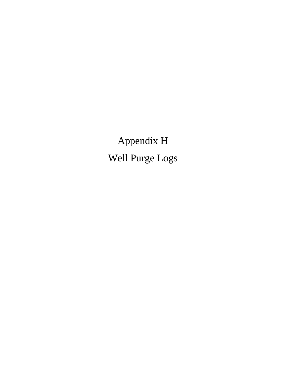Appendix H Well Purge Logs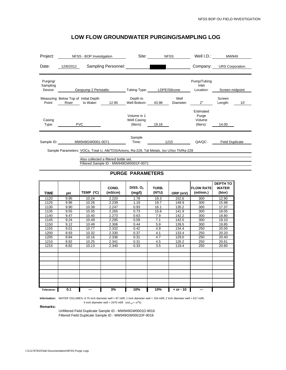| Project:                        | NFSS - BOP Investigation                                                                  | Site:                                   | <b>NFSS</b>                | Well I.D.:                                | MW949                    |  |  |  |  |  |
|---------------------------------|-------------------------------------------------------------------------------------------|-----------------------------------------|----------------------------|-------------------------------------------|--------------------------|--|--|--|--|--|
| Date:                           | Sampling Personnel:<br>12/6/2012                                                          |                                         |                            | Company:                                  | <b>URS Corporation</b>   |  |  |  |  |  |
| Purging/<br>Sampling<br>Device: | Geopump 2 Peristaltic                                                                     |                                         | Tubing Type: LDPE/Silicone | Pump/Tubing<br>Inlet<br>Location:         | Screen midpoint          |  |  |  |  |  |
| Point:                          | Measuring Below Top of Initial Depth<br>to Water:<br>12.90<br>Riser                       | Depth to<br>Well Bottom: 43.96          | Well<br>Diameter:          | 2"                                        | Screen<br>10'<br>Length: |  |  |  |  |  |
| Casing<br>Type:                 | <b>PVC</b>                                                                                | Volume in 1<br>Well Casing<br>(liters): | 19.16                      | Estimated<br>Purge<br>Volume<br>(liters): | 14.00                    |  |  |  |  |  |
| Sample ID:                      | MW949GW0001-0071                                                                          | Sample<br>Time:                         | 1215                       | QA/QC:                                    | <b>Field Duplicate</b>   |  |  |  |  |  |
|                                 | Sample Parameters: VOCs, Total U, Alk/TDS/Anions, Ra-226, Tal Metals, Iso U/Iso Th/Ra-228 |                                         |                            |                                           |                          |  |  |  |  |  |

Also collected a filtered bottle set. Filtered Sample ID - MW949GW0001F-0071

#### **PURGE PARAMETERS**

| <b>TIME</b> | рH   | TEMP (°C) | COND.<br>(mS/cm) | DISS. $O2$<br>(mg/l) | TURB.<br>(NTU) | ORP (mV)    | <b>IFLOW RATE</b><br>(ml/min.) | <b>DEPTH TO</b><br><b>WATER</b><br>(btor) |
|-------------|------|-----------|------------------|----------------------|----------------|-------------|--------------------------------|-------------------------------------------|
| 1120        | 9.95 | 10.24     | 2.220            | 1.78                 | 19.3           | 152.6       | 300                            | 12.90                                     |
| 1125        | 9.96 | 10.26     | 2.239            | 1.19                 | 19.7           | 149.9       | 300                            | 15.98                                     |
| 1130        | 9.90 | 10.38     | 2.247            | 0.93                 | 16.1           | 135.2       | 300                            | 17.37                                     |
| 1135        | 9.55 | 10.35     | 2.265            | 0.73                 | 15.8           | 141.9       | 300                            | 18.05                                     |
| 1140        | 9.47 | 10.40     | 2.273            | 0.63                 | 7.9            | 142.2       | 300                            | 18.80                                     |
| 1145        | 9.24 | 10.49     | 2.295            | 0.59                 | 7.1            | 142.5       | 300                            | 19.10                                     |
| 1150        | 9.12 | 10.49     | 2.306            | 0.44                 | 5.9            | 139.5       | 300                            | 19.85                                     |
| 1155        | 9.01 | 10.77     | 2.332            | 0.42                 | 4.9            | 134.4       | 250                            | 20.00                                     |
| 1200        | 8.93 | 10.32     | 2.330            | 0.37                 | 4.1            | 133.4       | 250                            | 20.20                                     |
| 1205        | 8.84 | 10.16     | 2.336            | 0.31                 | 4.7            | 129.0       | 250                            | 20.40                                     |
| 1210        | 8.82 | 10.25     | 2.341            | 0.31                 | 4.5            | 126.2       | 250                            | 20.61                                     |
| 1215        | 8.82 | 10.13     | 2.340            | 0.33                 | 3.5            | 119.4       | 250                            | 20.80                                     |
|             |      |           |                  |                      |                |             |                                |                                           |
|             |      |           |                  |                      |                |             |                                |                                           |
|             |      |           |                  |                      |                |             |                                |                                           |
|             |      |           |                  |                      |                |             |                                |                                           |
|             |      |           |                  |                      |                |             |                                |                                           |
|             |      |           |                  |                      |                |             |                                |                                           |
|             |      |           |                  |                      |                |             |                                |                                           |
|             |      |           |                  |                      |                |             |                                |                                           |
|             |      |           |                  |                      |                |             |                                |                                           |
| Tolerance:  | 0.1  | ---       | 3%               | 10%                  | 10%            | $+$ or - 10 | ---                            |                                           |

Information: WATER VOLUMES--0.75 inch diameter well = 87 ml/ft; 1 inch diameter well = 154 ml/ft; 2 inch diameter well = 617 ml/ft;

4 inch diameter well = 2470 ml/ft (vol<sub>cyl</sub> =  $\pi r^2 h$ )

**Remarks:** 

Unfiltered Field Duplicate Sample ID - MW949GW0001D-9016 Filtered Field Duplicate Sample ID - MW949GW0001DF-9016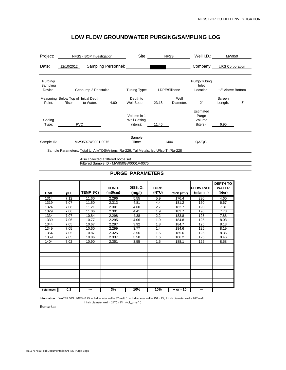| Project:                        | NFSS - BOP Investigation                                                                                                     |                       |                     | Site:                                          | <b>NFSS</b> |                   | Well I.D.:                                | MW950             |    |  |
|---------------------------------|------------------------------------------------------------------------------------------------------------------------------|-----------------------|---------------------|------------------------------------------------|-------------|-------------------|-------------------------------------------|-------------------|----|--|
| Date:                           | 12/10/2012                                                                                                                   |                       | Sampling Personnel: |                                                |             |                   | Company: URS Corporation                  |                   |    |  |
| Purging/<br>Sampling<br>Device: |                                                                                                                              | Geopump 2 Peristaltic |                     | Tubing Type:                                   |             | LDPE/Silicone     | Pump/Tubing<br>Inlet<br>Location:         | ~8' Above Bottom  |    |  |
| Point:                          | Measuring Below Top of Initial Depth<br>Riser                                                                                | to Water:             | 4.60                | Depth to<br>Well Bottom:                       | 23.18       | Well<br>Diameter: | 2"                                        | Screen<br>Length: | 5' |  |
| Casing<br>Type:                 |                                                                                                                              | <b>PVC</b>            |                     | Volume in 1<br><b>Well Casing</b><br>(liters): | 11.46       |                   | Estimated<br>Purge<br>Volume<br>(liters): | 6.95              |    |  |
| Sample ID:                      | MW950GW0001-0075                                                                                                             |                       | Sample<br>Time:     | 1404                                           |             | QA/QC:            |                                           |                   |    |  |
|                                 | Sample Parameters: Total U, Alk/TDS/Anions, Ra-226, Tal Metals, Iso U/Iso Th/Ra-228<br>Also collected a filtered bottle set. |                       |                     |                                                |             |                   |                                           |                   |    |  |
|                                 |                                                                                                                              |                       |                     | Filtered Sample ID - MW950GW0001F-0075         |             |                   |                                           |                   |    |  |

#### **PURGE PARAMETERS**

| <b>TIME</b> | рH   | TEMP (°C) | COND.<br>(mS/cm) | DISS. $O2$<br>(mg/l) | TURB.<br>(NTU) | ORP (mV)    | <b>FLOW RATE</b><br>(ml/min.) | <b>DEPTH TO</b><br><b>WATER</b><br>(btor) |
|-------------|------|-----------|------------------|----------------------|----------------|-------------|-------------------------------|-------------------------------------------|
| 1314        | 7.12 | 11.60     | 2.296            | 5.55                 | 5.9            | 176.4       | 290                           | 4.60                                      |
| 1319        | 7.07 | 11.50     | 2.313            | 4.81                 | 4.4            | 181.2       | 160                           | 6.67                                      |
| 1324        | 7.08 | 11.21     | 2.301            | 4.60                 | 2.7            | 182.7       | 190                           | 7.31                                      |
| 1329        | 7.06 | 11.06     | 2.301            | 4.41                 | 1.9            | 183.7       | 190                           | 7.73                                      |
| 1334        | 7.07 | 10.84     | 2.298            | 4.38                 | 2.2            | 183.8       | 125                           | 7.88                                      |
| 1339        | 7.06 | 10.77     | 2.295            | 4.06                 | 1.9            | 184.8       | 125                           | 8.03                                      |
| 1344        | 7.05 | 10.67     | 2.297            | 3.92                 | 1.8            | 184.7       | 125                           | 8.13                                      |
| 1349        | 7.05 | 10.60     | 2.299            | 3.77                 | 1.4            | 184.6       | 125                           | 8.19                                      |
| 1354        | 7.05 | 10.87     | 2.325            | 3.56                 | 1.5            | 185.6       | 125                           | 8.35                                      |
| 1359        | 7.05 | 10.86     | 2.337            | 3.58                 | 1.6            | 186.2       | 125                           | 8.46                                      |
| 1404        | 7.02 | 10.90     | 2.351            | 3.55                 | 1.5            | 188.1       | 125                           | 8.58                                      |
|             |      |           |                  |                      |                |             |                               |                                           |
|             |      |           |                  |                      |                |             |                               |                                           |
|             |      |           |                  |                      |                |             |                               |                                           |
|             |      |           |                  |                      |                |             |                               |                                           |
|             |      |           |                  |                      |                |             |                               |                                           |
|             |      |           |                  |                      |                |             |                               |                                           |
|             |      |           |                  |                      |                |             |                               |                                           |
|             |      |           |                  |                      |                |             |                               |                                           |
|             |      |           |                  |                      |                |             |                               |                                           |
| Tolerance:  | 0.1  | ---       | 3%               | 10%                  | 10%            | $+ or - 10$ | ---                           |                                           |

Information: WATER VOLUMES--0.75 inch diameter well = 87 ml/ft; 1 inch diameter well = 154 ml/ft; 2 inch diameter well = 617 ml/ft;

**Remarks:**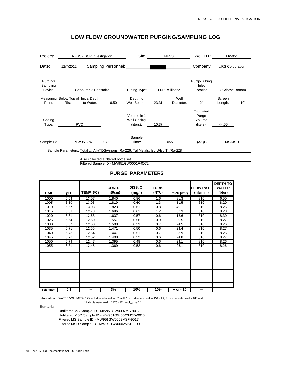| Project:                        | NFSS - BOP Investigation                                                                                                     | Site:                                          |       | <b>NFSS</b>       | Well I.D.:                                | MW951                  |     |
|---------------------------------|------------------------------------------------------------------------------------------------------------------------------|------------------------------------------------|-------|-------------------|-------------------------------------------|------------------------|-----|
| Date:                           | Sampling Personnel:<br>12/7/2012                                                                                             |                                                |       |                   | Company:                                  | <b>URS Corporation</b> |     |
| Purging/<br>Sampling<br>Device: | Geopump 2 Peristaltic                                                                                                        | Tubing Type:                                   |       | LDPE/Silicone     | Pump/Tubing<br>Inlet<br>Location:         | ~8' Above Bottom       |     |
| Point:                          | Measuring Below Top of Initial Depth<br>to Water:<br>6.50<br>Riser                                                           | Depth to<br>Well Bottom:                       | 23.31 | Well<br>Diameter: | 2"                                        | Screen<br>Length:      | 10' |
| Casing<br>Type:                 | <b>PVC</b>                                                                                                                   | Volume in 1<br><b>Well Casing</b><br>(liters): | 10.37 |                   | Estimated<br>Purge<br>Volume<br>(liters): | 44.55                  |     |
| Sample ID:                      | MW951GW0002-0072                                                                                                             | Sample<br>Time:                                |       | 1055              | QA/QC:                                    | MS/MSD                 |     |
|                                 | Sample Parameters: Total U, Alk/TDS/Anions, Ra-226, Tal Metals, Iso U/Iso Th/Ra-228<br>Also collected a filtered bottle set. |                                                |       |                   |                                           |                        |     |

Filtered Sample ID - MW951GW0001F-0072

#### **PURGE PARAMETERS**

| <b>TIME</b> | рH   | TEMP (°C) | COND.<br>(mS/cm) | DISS. $O2$<br>(mg/l) | TURB.<br>(NTU) | ORP (mV)    | <b>FLOW RATE</b><br>(ml/min.) | <b>DEPTH TO</b><br><b>WATER</b><br>(btor) |
|-------------|------|-----------|------------------|----------------------|----------------|-------------|-------------------------------|-------------------------------------------|
| 1000        | 6.64 | 13.07     | 1.840            | 0.86                 | 1.6            | 81.3        | 810                           | 6.50                                      |
| 1005        | 6.50 | 13.08     | 1.819            | 0.60                 | 1.3            | 51.5        | 810                           | 8.20                                      |
| 1010        | 6.57 | 13.08     | 1.823            | 0.61                 | 0.8            | 40.1        | 810                           | 8.26                                      |
| 1015        | 6.59 | 12.78     | 1.696            | 0.61                 | 1.2            | 32.3        | 810                           | 8.28                                      |
| 1020        | 6.61 | 12.68     | 1.637            | 0.57                 | 0.6            | 18.6        | 810                           | 8.30                                      |
| 1025        | 6.64 | 12.60     | 1.557            | 0.56                 | 0.9            | 20.5        | 810                           | 8.27                                      |
| 1030        | 6.67 | 12.60     | 1.508            | 0.53                 | 0.7            | 24.5        | 810                           | 8.26                                      |
| 1035        | 6.71 | 12.55     | 1.471            | 0.50                 | 0.6            | 24.4        | 810                           | 8.27                                      |
| 1040        | 6.78 | 12.54     | 1.447            | 0.51                 | 0.7            | 23.9        | 810                           | 8.26                                      |
| 1045        | 6.78 | 12.52     | 1.408            | 0.52                 | 0.6            | 24.8        | 810                           | 8.27                                      |
| 1050        | 6.79 | 12.47     | 1.395            | 0.48                 | 0.6            | 24.1        | 810                           | 8.26                                      |
| 1055        | 6.81 | 12.45     | 1.369            | 0.52                 | 0.6            | 26.1        | 810                           | 8.26                                      |
|             |      |           |                  |                      |                |             |                               |                                           |
|             |      |           |                  |                      |                |             |                               |                                           |
|             |      |           |                  |                      |                |             |                               |                                           |
|             |      |           |                  |                      |                |             |                               |                                           |
|             |      |           |                  |                      |                |             |                               |                                           |
|             |      |           |                  |                      |                |             |                               |                                           |
|             |      |           |                  |                      |                |             |                               |                                           |
|             |      |           |                  |                      |                |             |                               |                                           |
|             |      |           |                  |                      |                |             |                               |                                           |
| Tolerance:  | 0.1  | ---       | 3%               | 10%                  | 10%            | $+$ or - 10 | ---                           |                                           |

**Information:** WATER VOLUMES--0.75 inch diameter well = 87 ml/ft; 1 inch diameter well = 154 ml/ft; 2 inch diameter well = 617 ml/ft;

4 inch diameter well = 2470 ml/ft (vol<sub>cyl</sub> =  $\pi r^2 h$ )

**Remarks:** 

Unfiltered MS Sample ID - MW951GW0002MS-9017 Unfiltered MSD Sample ID - MW951GW0002MSD-9018 Filtered MS Sample ID - MW951GW0002MSF-9017 Filtered MSD Sample ID - MW951GW0002MSDF-9018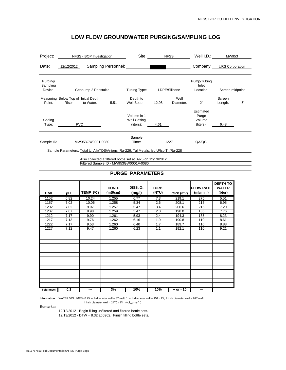| Project:                        | NFSS - BOP Investigation                                                                                                                           | Site:                                          | <b>NFSS</b>   |                   | Well I.D.:                                | MW953                  |    |  |  |  |
|---------------------------------|----------------------------------------------------------------------------------------------------------------------------------------------------|------------------------------------------------|---------------|-------------------|-------------------------------------------|------------------------|----|--|--|--|
| Date:                           | Sampling Personnel:<br>12/12/2012                                                                                                                  |                                                |               |                   | Company:                                  | <b>URS Corporation</b> |    |  |  |  |
| Purging/<br>Sampling<br>Device: | Geopump 2 Peristaltic                                                                                                                              | Tubing Type:                                   | LDPE/Silicone |                   | Pump/Tubing<br>Inlet<br>Location:         | Screen midpoint        |    |  |  |  |
| Point:                          | Measuring Below Top of Initial Depth<br>to Water:<br>5.51<br>Riser                                                                                 | Depth to<br>Well Bottom:                       | 12.98         | Well<br>Diameter: | 2"                                        | Screen<br>Length:      | 5' |  |  |  |
| Casing<br>Type:                 | <b>PVC</b>                                                                                                                                         | Volume in 1<br><b>Well Casing</b><br>(liters): | 4.61          |                   | Estimated<br>Purge<br>Volume<br>(liters): | 6.48                   |    |  |  |  |
| Sample ID:                      | MW953GW0001-0080                                                                                                                                   | Sample<br>Time:                                | 1227          |                   | QA/QC:                                    |                        |    |  |  |  |
|                                 | Sample Parameters: Total U, Alk/TDS/Anions, Ra-226, Tal Metals, Iso U/Iso Th/Ra-228<br>Also collected a filtered bottle set at 0925 on 12/13/2012. |                                                |               |                   |                                           |                        |    |  |  |  |

Filtered Sample ID - MW953GW0001F-0080

#### **PURGE PARAMETERS**

| <b>TIME</b> | рH   | TEMP (°C) | COND.<br>(mS/cm) | DISS. $O2$<br>(mg/l) | TURB.<br>(NTU) | ORP (mV)    | <b>FLOW RATE</b><br>(ml/min.) | <b>DEPTH TO</b><br><b>WATER</b><br>(btor) |
|-------------|------|-----------|------------------|----------------------|----------------|-------------|-------------------------------|-------------------------------------------|
| 1152        | 6.82 | 10.24     | 1.255            | 6.77                 | 7.3            | 219.1       | 275                           | 5.51                                      |
| 1157        | 7.02 | 10.06     | 1.258            | 5.34                 | 2.6            | 208.1       | 215                           | 6.95                                      |
| 1202        | 7.02 | 9.97      | 1.257            | 5.47                 | 3.4            | 206.6       | 215                           | 7.20                                      |
| 1207        | 7.07 | 9.98      | 1.259            | 5.47                 | 2.0            | 198.0       | 185                           | 7.76                                      |
| 1212        | 7.17 | 9.90      | 1.261            | 5.93                 | 2.4            | 194.3       | 185                           | 8.23                                      |
| 1217        | 7.13 | 9.76      | 1.262            | 6.16                 | 1.9            | 190.8       | 110                           | 8.61                                      |
| 1222        | 7.17 | 9.53      | 1.260            | 6.40                 | 1.7            | 189.7       | 110                           | 8.88                                      |
| 1227        | 7.12 | 9.47      | 1.260            | 6.23                 | 1.1            | 192.1       | 110                           | 9.21                                      |
|             |      |           |                  |                      |                |             |                               |                                           |
|             |      |           |                  |                      |                |             |                               |                                           |
|             |      |           |                  |                      |                |             |                               |                                           |
|             |      |           |                  |                      |                |             |                               |                                           |
|             |      |           |                  |                      |                |             |                               |                                           |
|             |      |           |                  |                      |                |             |                               |                                           |
|             |      |           |                  |                      |                |             |                               |                                           |
|             |      |           |                  |                      |                |             |                               |                                           |
|             |      |           |                  |                      |                |             |                               |                                           |
|             |      |           |                  |                      |                |             |                               |                                           |
|             |      |           |                  |                      |                |             |                               |                                           |
|             |      |           |                  |                      |                |             |                               |                                           |
|             |      |           |                  |                      |                |             |                               |                                           |
| Tolerance:  | 0.1  | ---       | 3%               | 10%                  | 10%            | $+ or - 10$ | ---                           |                                           |

**Information:** WATER VOLUMES--0.75 inch diameter well = 87 ml/ft; 1 inch diameter well = 154 ml/ft; 2 inch diameter well = 617 ml/ft;

4 inch diameter well = 2470 ml/ft (vol<sub>cyl</sub> =  $\pi r^2 h$ )

**Remarks:** 

12/12/2012 - Begin filling unfiltered and filtered bottle sets.

12/13/2012 - DTW = 8.32 at 0902. Finish filling bottle sets.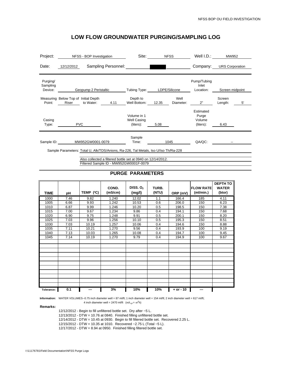| Project:                        | NFSS - BOP Investigation                                                                                                                           | Site:                                          | <b>NFSS</b>   |                   | Well I.D.:                                | MW952                  |    |
|---------------------------------|----------------------------------------------------------------------------------------------------------------------------------------------------|------------------------------------------------|---------------|-------------------|-------------------------------------------|------------------------|----|
| Date:                           | Sampling Personnel:<br>12/12/2012                                                                                                                  |                                                |               |                   | Company:                                  | <b>URS Corporation</b> |    |
| Purging/<br>Sampling<br>Device: | Geopump 2 Peristaltic                                                                                                                              | Tubing Type:                                   | LDPE/Silicone |                   | Pump/Tubing<br>Inlet<br>Location:         | Screen midpoint        |    |
| Point:                          | Measuring Below Top of Initial Depth<br>to Water:<br>4.11<br>Riser                                                                                 | Depth to<br>Well Bottom:                       | 12.35         | Well<br>Diameter: | 2"                                        | Screen<br>Length:      | 5' |
| Casing<br>Type:                 | <b>PVC</b>                                                                                                                                         | Volume in 1<br><b>Well Casing</b><br>(liters): | 5.08          |                   | Estimated<br>Purge<br>Volume<br>(liters): | 6.43                   |    |
| Sample ID:<br>MW952GW0001-0079  |                                                                                                                                                    | Sample<br>Time:                                | 1045          |                   | QA/QC:                                    |                        |    |
|                                 | Sample Parameters: Total U, Alk/TDS/Anions, Ra-226, Tal Metals, Iso U/Iso Th/Ra-228<br>Also collected a filtered bottle set at 0940 on 12/14/2012. |                                                |               |                   |                                           |                        |    |

Filtered Sample ID - MW952GW0001F-0079

#### **PURGE PARAMETERS**

| <b>TIME</b> | рH   | TEMP (°C) | COND.<br>(mS/cm) | DISS. $O2$<br>(mg/l) | TURB.<br>(NTU) | ORP (mV)      | <b>FLOW RATE</b><br>(ml/min.) | <b>DEPTH TO</b><br><b>WATER</b><br>(btor) |
|-------------|------|-----------|------------------|----------------------|----------------|---------------|-------------------------------|-------------------------------------------|
| 1000        | 7.46 | 9.82      | 1.240            | 12.02                | 1.1            | 166.4         | 185                           | 4.11                                      |
| 1005        | 6.66 | 9.93      | 1.242            | 10.53                | 0.6            | 206.0         | 150                           | 6.23                                      |
| 1010        | 6.87 | 9.99      | 1.246            | 10.20                | 0.5            | 198.5         | 150                           | 7.38                                      |
| 1015        | 7.00 | 9.67      | 1.234            | 9.86                 | 0.4            | 194.1         | 150                           | 7.68                                      |
| 1020        | 6.90 | 9.75      | 1.248            | 9.91                 | 0.5            | 200.1         | 150                           | 8.20                                      |
| 1025        | 7.03 | 9.96      | 1.256            | 10.10                | 0.5            | 195.3         | 150                           | 8.51                                      |
| 1030        | 7.03 | 10.19     | 1.257            | 10.06                | 0.4            | 194.6         | 150                           | 8.88                                      |
| 1035        | 7.11 | 10.21     | 1.270            | 9.56                 | 0.4            | 193.9         | 100                           | 9.19                                      |
| 1040        | 7.13 | 10.03     | 1.265            | 10.08                | 0.4            | 194.7         | 100                           | 9.45                                      |
| 1045        | 7.14 | 10.19     | 1.270            | 9.79                 | 0.4            | 194.9         | 100                           | 9.67                                      |
|             |      |           |                  |                      |                |               |                               |                                           |
|             |      |           |                  |                      |                |               |                               |                                           |
|             |      |           |                  |                      |                |               |                               |                                           |
|             |      |           |                  |                      |                |               |                               |                                           |
|             |      |           |                  |                      |                |               |                               |                                           |
|             |      |           |                  |                      |                |               |                               |                                           |
|             |      |           |                  |                      |                |               |                               |                                           |
|             |      |           |                  |                      |                |               |                               |                                           |
|             |      |           |                  |                      |                |               |                               |                                           |
|             |      |           |                  |                      |                |               |                               |                                           |
|             |      |           |                  |                      |                |               |                               |                                           |
| Tolerance:  | 0.1  | ---       | 3%               | 10%                  | 10%            | $+$ or $-$ 10 | ---                           |                                           |

**Information:** WATER VOLUMES--0.75 inch diameter well = 87 ml/ft; 1 inch diameter well = 154 ml/ft; 2 inch diameter well = 617 ml/ft;

4 inch diameter well = 2470 ml/ft (vol<sub>cyl</sub> =  $\pi r^2 h$ )

**Remarks:** 

12/12/2012 - Begin to fill unfiltered bottle set. Dry after ~5 L. 12/13/2012 - DTW = 10.76 at 0840. Finished filling unfiltered bottle set. 12/14/2012 - DTW = 10.45 at 0930. Begin to fill filtered bottle set. Recovered 2.25 L. 12/15/2012 - DTW = 10.35 at 1010. Recovered ~2.75 L (Total ~5 L). 12/17/2012 - DTW = 8.94 at 0950. Finished filling filtered bottle set.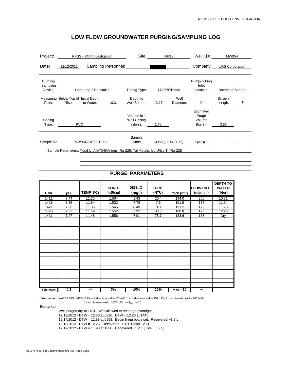| Project:                        | NFSS - BOP Investigation                                                                                | Site:                                          | <b>NFSS</b>                | Well I.D.:                                | MW954                   |
|---------------------------------|---------------------------------------------------------------------------------------------------------|------------------------------------------------|----------------------------|-------------------------------------------|-------------------------|
| Date:                           | Sampling Personnel:<br>12/12/2012                                                                       |                                                |                            | Company:                                  | <b>URS Corporation</b>  |
| Purging/<br>Sampling<br>Device: | Geopump 2 Peristaltic                                                                                   | Tubing Type:                                   | LDPE/Silicone              | Pump/Tubing<br>Inlet<br>Location:         | Bottom of Screen        |
| Point:                          | Measuring Below Top of Initial Depth<br>to Water:<br>Riser<br>10.31                                     | Depth to<br>Well Bottom:                       | Well<br>13.17<br>Diameter: | 2"                                        | Screen<br>5'<br>Length: |
| Casing<br>Type:                 | <b>PVC</b>                                                                                              | Volume in 1<br><b>Well Casing</b><br>(liters): | 1.76                       | Estimated<br>Purge<br>Volume<br>(liters): | 3.88                    |
| Sample ID:                      | MW954GW0001-0082<br>Sample Parameters: Total U, Alk/TDS/Anions, Ra-226, Tal Metals, Iso U/Iso Th/Ra-228 | Sample<br>Time:                                | 0958 (12/14/2012)          | QA/QC:                                    |                         |
|                                 |                                                                                                         |                                                |                            |                                           |                         |

#### **PURGE PARAMETERS**

| <b>TIME</b> | рH   | TEMP (°C) | COND.<br>(mS/cm) | DISS. $O2$<br>(mg/l) | TURB.<br>(NTU) | ORP (mV)      | <b>FLOW RATE</b><br>(ml/min.) | <b>DEPTH TO</b><br><b>WATER</b><br>(btor) |
|-------------|------|-----------|------------------|----------------------|----------------|---------------|-------------------------------|-------------------------------------------|
| 1411        | 7.44 | 11.25     | 1.504            | 9.43                 | 20.4           | 194.0         | 250                           | 10.31                                     |
| 1416        | 7.35 | 11.54     | 1.533            | 7.78                 | 7.6            | 191.9         | 175                           | 11.34                                     |
| 1421        | 7.36 | 11.35     | 1.545            | 8.49                 | 8.8            | 191.2         | 175                           | 11.78                                     |
| 1426        | 7.33 | 11.49     | 1.552            | 7.92                 | 33.3           | 188.8         | 175                           | 12.23                                     |
| 1431        | 7.27 | 11.48     | 1.556            | 7.91                 | 78.7           | 183.6         | 175                           | Dry                                       |
|             |      |           |                  |                      |                |               |                               |                                           |
|             |      |           |                  |                      |                |               |                               |                                           |
|             |      |           |                  |                      |                |               |                               |                                           |
|             |      |           |                  |                      |                |               |                               |                                           |
|             |      |           |                  |                      |                |               |                               |                                           |
|             |      |           |                  |                      |                |               |                               |                                           |
|             |      |           |                  |                      |                |               |                               |                                           |
|             |      |           |                  |                      |                |               |                               |                                           |
|             |      |           |                  |                      |                |               |                               |                                           |
|             |      |           |                  |                      |                |               |                               |                                           |
|             |      |           |                  |                      |                |               |                               |                                           |
|             |      |           |                  |                      |                |               |                               |                                           |
|             |      |           |                  |                      |                |               |                               |                                           |
|             |      |           |                  |                      |                |               |                               |                                           |
|             |      |           |                  |                      |                |               |                               |                                           |
| Tolerance:  | 0.1  | ---       | 3%               | 10%                  | 10%            | $+$ or $-$ 10 | $- - -$                       |                                           |

**Information:** WATER VOLUMES--0.75 inch diameter well = 87 ml/ft; 1 inch diameter well = 154 ml/ft; 2 inch diameter well = 617 ml/ft;

4 inch diameter well = 2470 ml/ft (vol<sub>cyl</sub> =  $\pi r^2 h$ )

**Remarks:** 

Well purged dry at 1431. Well allowed to recharge overnight.

12/13/2012 - DTW = 12.30 at 0930. DTW = 12.20 at 1445.

12/14/2012 - DTW = 11.88 at 0958. Begin filling bottle set. Recovered ~1.2 L.

12/15/2012 - DTW = 12.26. Recovered ~0.8 L (Total ~2 L).

12/17/2012 - DTW = 11.93 at 1000. Recovered ~1.2 L (Total ~3.2 L).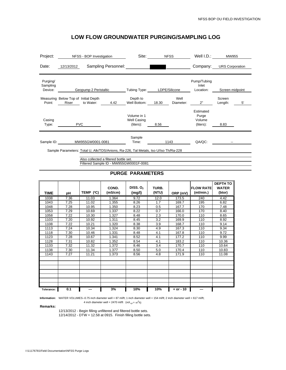|            |           |                                                    | Site:                                                                 |                                                                                                        |                   | Well I.D.:                                                                                                                  | MW955             |                          |
|------------|-----------|----------------------------------------------------|-----------------------------------------------------------------------|--------------------------------------------------------------------------------------------------------|-------------------|-----------------------------------------------------------------------------------------------------------------------------|-------------------|--------------------------|
| 12/13/2012 |           |                                                    |                                                                       |                                                                                                        |                   |                                                                                                                             |                   |                          |
|            |           |                                                    | Tubing Type:                                                          |                                                                                                        |                   | Pump/Tubing<br>Inlet<br>Location:                                                                                           | Screen midpoint   |                          |
| Riser      | to Water: | 4.42                                               | Depth to<br>Well Bottom:                                              | 18.30                                                                                                  | Well<br>Diameter: | 2"                                                                                                                          | Screen<br>Length: | $5^{\circ}$              |
|            |           |                                                    | Volume in 1<br>Well Casing<br>(liters):                               | 8.56                                                                                                   |                   | Estimated<br>Purge<br>Volume<br>(liters):                                                                                   | 8.83              |                          |
| Sample ID: |           |                                                    | Sample<br>Time:                                                       |                                                                                                        |                   | QA/QC:                                                                                                                      |                   |                          |
|            |           |                                                    |                                                                       |                                                                                                        |                   |                                                                                                                             |                   |                          |
|            |           | Measuring Below Top of Initial Depth<br><b>PVC</b> | NFSS - BOP Investigation<br>Geopump 2 Peristaltic<br>MW955GW0001-0081 | Sampling Personnel:<br>Also collected a filtered bottle set.<br>Filtered Sample ID - MW955GW0001F-0081 |                   | <b>NFSS</b><br>LDPE/Silicone<br>1143<br>Sample Parameters: Total U, Alk/TDS/Anions, Ra-226, Tal Metals, Iso U/Iso Th/Ra-228 |                   | Company: URS Corporation |

#### **PURGE PARAMETERS**

| <b>TIME</b> | рH   | TEMP (°C) | COND.<br>(mS/cm) | DISS. $O2$<br>(mg/l) | TURB.<br>(NTU) | ORP (mV)  | <b>IFLOW RATE</b><br>(ml/min.) | <b>DEPTH TO</b><br><b>WATER</b><br>(btor) |
|-------------|------|-----------|------------------|----------------------|----------------|-----------|--------------------------------|-------------------------------------------|
| 1038        | 7.36 | 11.03     | 1.364            | 9.72                 | 12.0           | 173.5     | 240                            | 4.42                                      |
| 1043        | 7.25 | 11.02     | 1.355            | 8.26                 | 1.7            | 169.7     | 195                            | 6.82                                      |
| 1048        | 7.28 | 10.95     | 1.350            | 8.23                 | 0.5            | 167.7     | 170                            | 7.48                                      |
| 1053        | 7.29 | 10.69     | 1.337            | 8.22                 | 0.7            | 166.0     | 170                            | 8.40                                      |
| 1058        | 7.22 | 10.30     | 1.327            | 8.48                 | 2.3            | 170.0     | 110                            | 8.65                                      |
| 1103        | 7.20 | 10.92     | 1.311            | 8.45                 | 3.2            | 169.9     | 110                            | 8.92                                      |
| 1108        | 7.22 | 10.21     | 1.320            | 8.38                 | 3.9            | 168.7     | 110                            | 9.14                                      |
| 1113        | 7.24 | 10.34     | 1.324            | 8.30                 | 4.9            | 167.3     | 110                            | 9.34                                      |
| 1118        | 7.30 | 10.46     | 1.331            | 8.48                 | 4.1            | 167.8     | 110                            | 9.72                                      |
| 1123        | 7.28 | 10.67     | 1.341            | 8.52                 | 4.1            | 177.2     | 110                            | 9.99                                      |
| 1128        | 7.31 | 10.82     | 1.352            | 8.54                 | 4.1            | 183.2     | 110                            | 10.36                                     |
| 1133        | 7.32 | 11.32     | 1.372            | 8.46                 | 3.4            | 170.7     | 110                            | 10.64                                     |
| 1138        | 7.30 | 11.34     | 1.377            | 8.50                 | 5.0            | 170.4     | 110                            | 10.83                                     |
| 1143        | 7.27 | 11.21     | 1.373            | 8.56                 | 4.8            | 171.9     | 110                            | 11.08                                     |
|             |      |           |                  |                      |                |           |                                |                                           |
|             |      |           |                  |                      |                |           |                                |                                           |
|             |      |           |                  |                      |                |           |                                |                                           |
|             |      |           |                  |                      |                |           |                                |                                           |
|             |      |           |                  |                      |                |           |                                |                                           |
|             |      |           |                  |                      |                |           |                                |                                           |
|             |      |           |                  |                      |                |           |                                |                                           |
| Tolerance:  | 0.1  | ---       | 3%               | 10%                  | 10%            | + or - 10 | ---                            |                                           |

**Information:** WATER VOLUMES--0.75 inch diameter well = 87 ml/ft; 1 inch diameter well = 154 ml/ft; 2 inch diameter well = 617 ml/ft;

4 inch diameter well = 2470 ml/ft (vol<sub>cyl</sub> =  $\pi r^2 h$ )

**Remarks:** 

12/13/2012 - Begin filling unfiltered and filtered bottle sets.

12/14/2012 - DTW = 12.58 at 0915. Finish filling bottle sets.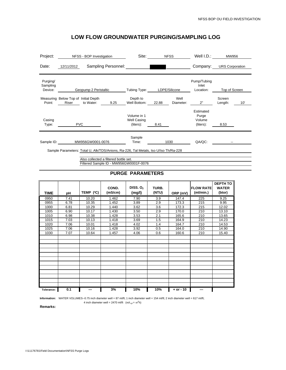| Project:                        |                                               | NFSS - BOP Investigation                                                                                                                                               |                     | Site:                                          |       | <b>NFSS</b>       | Well I.D.:                                | MW956             |     |
|---------------------------------|-----------------------------------------------|------------------------------------------------------------------------------------------------------------------------------------------------------------------------|---------------------|------------------------------------------------|-------|-------------------|-------------------------------------------|-------------------|-----|
| Date:                           | 12/11/2012                                    |                                                                                                                                                                        | Sampling Personnel: |                                                |       |                   | Company: URS Corporation                  |                   |     |
| Purging/<br>Sampling<br>Device: |                                               | Geopump 2 Peristaltic                                                                                                                                                  |                     | Tubing Type:                                   |       | LDPE/Silicone     | Pump/Tubing<br>Inlet<br>Location:         | Top of Screen     |     |
| Point:                          | Measuring Below Top of Initial Depth<br>Riser | to Water:                                                                                                                                                              | 9.25                | Depth to<br>Well Bottom:                       | 22.88 | Well<br>Diameter: | 2"                                        | Screen<br>Length: | 10' |
| Casing<br>Type:                 |                                               | <b>PVC</b>                                                                                                                                                             |                     | Volume in 1<br><b>Well Casing</b><br>(liters): | 8.41  |                   | Estimated<br>Purge<br>Volume<br>(liters): | 8.53              |     |
| Sample ID:                      |                                               | MW956GW0001-0076                                                                                                                                                       |                     | Sample<br>Time:                                |       | 1030              | QA/QC:                                    |                   |     |
|                                 |                                               | Sample Parameters: Total U, Alk/TDS/Anions, Ra-226, Tal Metals, Iso U/Iso Th/Ra-228<br>Also collected a filtered bottle set.<br>Filtered Sample ID - MW956GW0001F-0076 |                     |                                                |       |                   |                                           |                   |     |

### **PURGE PARAMETERS**

| <b>TIME</b> | рH   | TEMP (°C) | COND.<br>(mS/cm) | DISS. $O2$<br>(mg/l) | TURB.<br>(NTU)   | ORP (mV)    | <b>FLOW RATE</b><br>(ml/min.) | <b>DEPTH TO</b><br><b>WATER</b><br>(btor) |
|-------------|------|-----------|------------------|----------------------|------------------|-------------|-------------------------------|-------------------------------------------|
| 0950        | 7.41 | 10.20     | 1.462            | 7.90                 | $\overline{3.9}$ | 147.4       | 225                           | 9.25                                      |
| 0955        | 6.78 | 10.35     | 1.452            | 3.89                 | 2.9              | 173.3       | 215                           | 9.95                                      |
| 1000        | 6.81 | 10.29     | 1.440            | 3.62                 | 3.6              | 172.3       | 215                           | 12.02                                     |
| 1005        | 6.90 | 10.17     | 1.430            | 3.50                 | 2.9              | 170.0       | 210                           | 13.10                                     |
| 1010        | 6.98 | 10.38     | 1.428            | 3.53                 | 2.1              | 165.6       | 210                           | 13.65                                     |
| 1015        | 7.03 | 10.13     | 1.418            | 3.69                 | 1.5              | 164.9       | 210                           | 14.23                                     |
| 1020        | 7.06 | 10.01     | 1.418            | 4.02                 | 1.4              | 164.7       | 210                           | 14.53                                     |
| 1025        | 7.06 | 10.16     | 1.428            | 3.92                 | 0.5              | 164.0       | 210                           | 14.90                                     |
| 1030        | 7.07 | 10.64     | 1.457            | 4.06                 | 0.6              | 160.6       | 210                           | 15.40                                     |
|             |      |           |                  |                      |                  |             |                               |                                           |
|             |      |           |                  |                      |                  |             |                               |                                           |
|             |      |           |                  |                      |                  |             |                               |                                           |
|             |      |           |                  |                      |                  |             |                               |                                           |
|             |      |           |                  |                      |                  |             |                               |                                           |
|             |      |           |                  |                      |                  |             |                               |                                           |
|             |      |           |                  |                      |                  |             |                               |                                           |
|             |      |           |                  |                      |                  |             |                               |                                           |
| Tolerance:  | 0.1  | ---       | 3%               | 10%                  | 10%              | $+ or - 10$ | ---                           |                                           |

Information: WATER VOLUMES--0.75 inch diameter well = 87 ml/ft; 1 inch diameter well = 154 ml/ft; 2 inch diameter well = 617 ml/ft;

**Remarks:**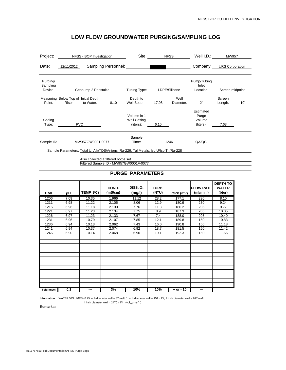| Project:                        | NFSS - BOP Investigation                                                                                                                                               | Site:                                   | <b>NFSS</b>   | Well I.D.:                                | MW957                    |     |
|---------------------------------|------------------------------------------------------------------------------------------------------------------------------------------------------------------------|-----------------------------------------|---------------|-------------------------------------------|--------------------------|-----|
| Date:                           | Sampling Personnel:<br>12/11/2012                                                                                                                                      |                                         |               |                                           | Company: URS Corporation |     |
| Purging/<br>Sampling<br>Device: | Geopump 2 Peristaltic                                                                                                                                                  | Tubing Type:                            | LDPE/Silicone | Pump/Tubing<br>Inlet<br>Location:         | Screen midpoint          |     |
| Point:                          | Measuring Below Top of Initial Depth<br>Riser to Water:<br>8.10                                                                                                        | Depth to<br>Well Bottom:                | 17.98         | Well<br>2"<br>Diameter:                   | Screen<br>Length:        | 10' |
| Casing<br>Type:                 | <b>PVC</b>                                                                                                                                                             | Volume in 1<br>Well Casing<br>(liters): | 6.10          | Estimated<br>Purge<br>Volume<br>(liters): | 7.63                     |     |
|                                 | Sample ID: MW957GW0001-0077                                                                                                                                            | Sample<br>Time:                         | 1246          | QA/QC:                                    |                          |     |
|                                 | Sample Parameters: Total U, Alk/TDS/Anions, Ra-226, Tal Metals, Iso U/Iso Th/Ra-228<br>Also collected a filtered bottle set.<br>Filtered Sample ID - MW957GW0001F-0077 |                                         |               |                                           |                          |     |

#### **PURGE PARAMETERS**

| <b>TIME</b> | рH   | TEMP (°C) | COND.<br>(mS/cm) | DISS. $O2$<br>(mg/l) | TURB.<br>(NTU) | ORP (mV)    | <b>FLOW RATE</b><br>(ml/min.) | <b>DEPTH TO</b><br><b>WATER</b><br>(btor) |
|-------------|------|-----------|------------------|----------------------|----------------|-------------|-------------------------------|-------------------------------------------|
| 1206        | 7.09 | 10.35     | 1.966            | 11.12                | 28.2           | 177.1       | 230                           | 8.10                                      |
| 1211        | 6.98 | 11.22     | 2.105            | 8.06                 | 12.9           | 180.9       | 230                           | 9.24                                      |
| 1216        | 6.96 | 11.18     | 2.130            | 7.76                 | 11.3           | 186.2       | 205                           | 9.77                                      |
| 1221        | 6.97 | 11.23     | 2.134            | 7.75                 | 8.9            | 187.3       | 205                           | 10.05                                     |
| 1226        | 6.97 | 11.23     | 2.133            | 7.67                 | 7.4            | 188.0       | 205                           | 10.40                                     |
| 1231        | 6.96 | 10.79     | 2.107            | 7.85                 | 12.1           | 189.8       | 150                           | 10.83                                     |
| 1236        | 6.94 | 10.13     | 2.062            | 7.43                 | 16.0           | 190.8       | 150                           | 11.18                                     |
| 1241        | 6.94 | 10.37     | 2.074            | 6.92                 | 18.7           | 181.5       | 150                           | 11.42                                     |
| 1246        | 6.90 | 10.14     | 2.068            | 6.90                 | 19.1           | 192.3       | 150                           | 11.66                                     |
|             |      |           |                  |                      |                |             |                               |                                           |
|             |      |           |                  |                      |                |             |                               |                                           |
|             |      |           |                  |                      |                |             |                               |                                           |
|             |      |           |                  |                      |                |             |                               |                                           |
|             |      |           |                  |                      |                |             |                               |                                           |
|             |      |           |                  |                      |                |             |                               |                                           |
|             |      |           |                  |                      |                |             |                               |                                           |
|             |      |           |                  |                      |                |             |                               |                                           |
|             |      |           |                  |                      |                |             |                               |                                           |
|             |      |           |                  |                      |                |             |                               |                                           |
|             |      |           |                  |                      |                |             |                               |                                           |
|             |      |           |                  |                      |                |             |                               |                                           |
| Tolerance:  | 0.1  | ---       | 3%               | 10%                  | 10%            | $+ or - 10$ | ---                           |                                           |

Information: WATER VOLUMES--0.75 inch diameter well = 87 ml/ft; 1 inch diameter well = 154 ml/ft; 2 inch diameter well = 617 ml/ft;

**Remarks:**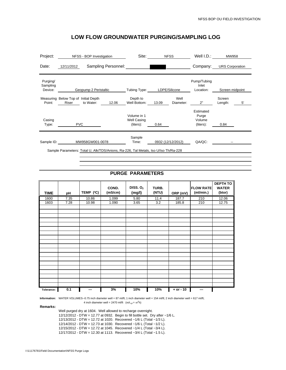| Project:                        | NFSS - BOP Investigation                                                            | Site:                                          | <b>NFSS</b>                | Well I.D.:                                | MW958                   |
|---------------------------------|-------------------------------------------------------------------------------------|------------------------------------------------|----------------------------|-------------------------------------------|-------------------------|
| Date:                           | Sampling Personnel:<br>12/11/2012                                                   |                                                |                            | Company:                                  | <b>URS Corporation</b>  |
| Purging/<br>Sampling<br>Device: | Geopump 2 Peristaltic                                                               | Tubing Type:                                   | LDPE/Silicone              | Pump/Tubing<br>Inlet<br>Location:         | Screen midpoint         |
| Point:                          | Measuring Below Top of Initial Depth<br>to Water:<br>12.06<br>Riser                 | Depth to<br>Well Bottom:                       | Well<br>13.09<br>Diameter: | 2"                                        | Screen<br>5'<br>Length: |
| Casing<br>Type:                 | <b>PVC</b>                                                                          | Volume in 1<br><b>Well Casing</b><br>(liters): | 0.64                       | Estimated<br>Purge<br>Volume<br>(liters): | 0.84                    |
| Sample ID:                      | MW958GW001-0078                                                                     | Sample<br>Time:                                | 0932 (12/12/2012)          | QA/QC:                                    |                         |
|                                 | Sample Parameters: Total U, Alk/TDS/Anions, Ra-226, Tal Metals, Iso U/Iso Th/Ra-228 |                                                |                            |                                           |                         |

#### **PURGE PARAMETERS**

| <b>TIME</b> | pH   | TEMP (°C) | COND.<br>(mS/cm) | DISS. $O2$<br>(mg/l) | TURB.<br>(NTU) | ORP (mV)    | <b>FLOW RATE</b><br>(ml/min.) | DEPTH TO<br><b>WATER</b><br>(btor) |
|-------------|------|-----------|------------------|----------------------|----------------|-------------|-------------------------------|------------------------------------|
| 1600        | 7.35 | 10.86     | 1.099            | 5.80                 | 11.4           | 187.7       | 210                           | 12.06                              |
| 1603        | 7.28 | 10.98     | 1.090            | 3.65                 | 3.2            | 185.8       | 210                           | 12.75                              |
|             |      |           |                  |                      |                |             |                               |                                    |
|             |      |           |                  |                      |                |             |                               |                                    |
|             |      |           |                  |                      |                |             |                               |                                    |
|             |      |           |                  |                      |                |             |                               |                                    |
|             |      |           |                  |                      |                |             |                               |                                    |
|             |      |           |                  |                      |                |             |                               |                                    |
|             |      |           |                  |                      |                |             |                               |                                    |
|             |      |           |                  |                      |                |             |                               |                                    |
|             |      |           |                  |                      |                |             |                               |                                    |
|             |      |           |                  |                      |                |             |                               |                                    |
|             |      |           |                  |                      |                |             |                               |                                    |
|             |      |           |                  |                      |                |             |                               |                                    |
|             |      |           |                  |                      |                |             |                               |                                    |
|             |      |           |                  |                      |                |             |                               |                                    |
|             |      |           |                  |                      |                |             |                               |                                    |
|             |      |           |                  |                      |                |             |                               |                                    |
|             |      |           |                  |                      |                |             |                               |                                    |
|             |      |           |                  |                      |                |             |                               |                                    |
| Tolerance:  | 0.1  | ---       | 3%               | 10%                  | 10%            | $+ or - 10$ | ---                           |                                    |

**Information:** WATER VOLUMES--0.75 inch diameter well = 87 ml/ft; 1 inch diameter well = 154 ml/ft; 2 inch diameter well = 617 ml/ft;

4 inch diameter well = 2470 ml/ft (vol<sub>cyl</sub> =  $\pi r^2 h$ )

**Remarks:** 

Well purged dry at 1604. Well allowed to recharge overnight. 12/12/2012 - DTW = 12.77 at 0932. Begin to fill bottle set. Dry after ~1/6 L. 12/13/2012 - DTW = 12.72 at 1020. Recovered ~1/6 L (Total ~1/3 L).

12/14/2012 - DTW = 12.73 at 1030. Recovered ~1/6 L (Total ~1/2 L). 12/15/2012 - DTW = 12.72 at 1045. Recovered ~1/4 L (Total ~3/4 L).

12/17/2012 - DTW = 12.30 at 1113. Recovered ~3/4 L (Total ~1.5 L).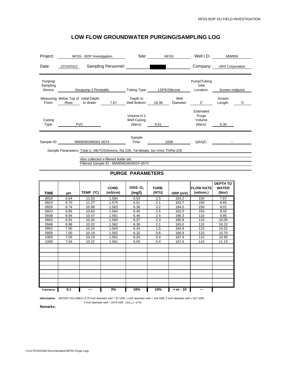| Project:                        |                                               | NFSS - BOP Investigation |                                       | Site:                                                                               |       | <b>NFSS</b>       | Well I.D.:                                | MW959                  |    |
|---------------------------------|-----------------------------------------------|--------------------------|---------------------------------------|-------------------------------------------------------------------------------------|-------|-------------------|-------------------------------------------|------------------------|----|
| Date:                           | 12/10/2012                                    |                          | Sampling Personnel:                   |                                                                                     |       |                   | Company:                                  | <b>URS Corporation</b> |    |
| Purging/<br>Sampling<br>Device: |                                               | Geopump 2 Peristaltic    |                                       | Tubing Type:                                                                        |       | LDPE/Silicone     | Pump/Tubing<br>Inlet<br>Location:         | Screen midpoint        |    |
|                                 |                                               |                          |                                       |                                                                                     |       |                   |                                           |                        |    |
| Point:                          | Measuring Below Top of Initial Depth<br>Riser | to Water:                | 7.67                                  | Depth to<br>Well Bottom:                                                            | 18.38 | Well<br>Diameter: | 2"                                        | Screen<br>Length:      | 5' |
| Casing<br>Type:                 |                                               | <b>PVC</b>               |                                       | Volume in 1<br><b>Well Casing</b><br>(liters):                                      | 6.61  |                   | Estimated<br>Purge<br>Volume<br>(liters): | 6.30                   |    |
|                                 |                                               |                          |                                       | Sample                                                                              |       |                   |                                           |                        |    |
| Sample ID:                      |                                               | MW959GW0001-0074         |                                       | Time:                                                                               |       | 1008              | QA/QC:                                    |                        |    |
|                                 |                                               |                          |                                       | Sample Parameters: Total U, Alk/TDS/Anions, Ra-226, Tal Metals, Iso U/Iso Th/Ra-228 |       |                   |                                           |                        |    |
|                                 |                                               |                          | Also collected a filtered bottle set. | Filtered Sample ID - MW959GW0001F-0074                                              |       |                   |                                           |                        |    |

#### **PURGE PARAMETERS**

| <b>TIME</b> | рH   | TEMP (°C) | COND.<br>(mS/cm) | DISS. $O2$<br>(mg/l) | TURB.<br>(NTU) | ORP (mV)    | <b>FLOW RATE</b><br>(ml/min.) | <b>DEPTH TO</b><br><b>WATER</b><br>(btor) |
|-------------|------|-----------|------------------|----------------------|----------------|-------------|-------------------------------|-------------------------------------------|
| 0918        | 6.64 | 11.53     | 1.584            | 6.53                 | 2.5            | 164.2       | 150                           | 7.67                                      |
| 0923        | 6.70 | 11.27     | 1.575            | 6.51                 | 2.1            | 161.7       | 150                           | 8.65                                      |
| 0928        | 6.74 | 10.98     | 1.563            | 6.36                 | 3.2            | 164.0       | 150                           | 9.01                                      |
| 0933        | 6.85 | 10.83     | 1.564            | 6.40                 | 2.5            | 162.0       | 150                           | 9.33                                      |
| 0938        | 6.84 | 10.47     | 1.561            | 6.46                 | 2.4            | 166.3       | 110                           | 9.85                                      |
| 0943        | 6.91 | 10.34     | 1.560            | 6.37                 | 2.3            | 165.8       | 110                           | 10.05                                     |
| 0948        | 6.96 | 10.32     | 1.562            | 6.36                 | 2.1            | 165.0       | 110                           | 10.32                                     |
| 0953        | 7.00 | 10.24     | 1.563            | 6.43                 | 1.5            | 164.9       | 110                           | 10.52                                     |
| 0958        | 7.00 | 10.19     | 1.562            | 6.32                 | 0.6            | 166.9       | 110                           | 10.70                                     |
| 1003        | 7.03 | 10.19     | 1.561            | 6.20                 | 0.4            | 167.4       | 110                           | 10.95                                     |
| 1008        | 7.04 | 10.22     | 1.561            | 6.05                 | 0.4            | 167.6       | 110                           | 11.15                                     |
|             |      |           |                  |                      |                |             |                               |                                           |
|             |      |           |                  |                      |                |             |                               |                                           |
|             |      |           |                  |                      |                |             |                               |                                           |
|             |      |           |                  |                      |                |             |                               |                                           |
|             |      |           |                  |                      |                |             |                               |                                           |
|             |      |           |                  |                      |                |             |                               |                                           |
|             |      |           |                  |                      |                |             |                               |                                           |
|             |      |           |                  |                      |                |             |                               |                                           |
|             |      |           |                  |                      |                |             |                               |                                           |
|             |      |           |                  |                      |                |             |                               |                                           |
| Tolerance:  | 0.1  | ---       | 3%               | 10%                  | 10%            | $+ or - 10$ | ---                           |                                           |

Information: WATER VOLUMES--0.75 inch diameter well = 87 ml/ft; 1 inch diameter well = 154 ml/ft; 2 inch diameter well = 617 ml/ft;

**Remarks:**